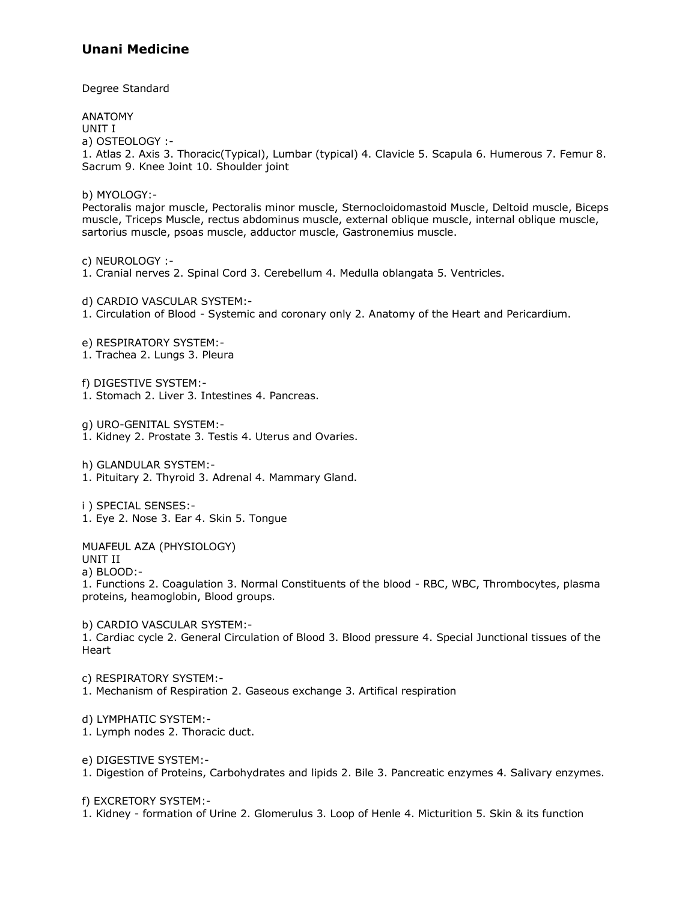Degree Standard

ANATOMY UNIT I a) OSTEOLOGY :- 1. Atlas 2. Axis 3. Thoracic(Typical), Lumbar (typical) 4. Clavicle 5. Scapula 6. Humerous 7. Femur 8. Sacrum 9. Knee Joint 10. Shoulder joint b) MYOLOGY:- Pectoralis major muscle, Pectoralis minor muscle, Sternocloidomastoid Muscle, Deltoid muscle, Biceps muscle, Triceps Muscle, rectus abdominus muscle, external oblique muscle, internal oblique muscle, sartorius muscle, psoas muscle, adductor muscle, Gastronemius muscle. c) NEUROLOGY :- 1. Cranial nerves 2. Spinal Cord 3. Cerebellum 4. Medulla oblangata 5. Ventricles. d) CARDIO VASCULAR SYSTEM:- 1. Circulation of Blood - Systemic and coronary only 2. Anatomy of the Heart and Pericardium. e) RESPIRATORY SYSTEM:- 1. Trachea 2. Lungs 3. Pleura f) DIGESTIVE SYSTEM:- 1. Stomach 2. Liver 3. Intestines 4. Pancreas. g) URO-GENITAL SYSTEM:- 1. Kidney 2. Prostate 3. Testis 4. Uterus and Ovaries. h) GLANDULAR SYSTEM:- 1. Pituitary 2. Thyroid 3. Adrenal 4. Mammary Gland. i ) SPECIAL SENSES:- 1. Eye 2. Nose 3. Ear 4. Skin 5. Tongue MUAFEUL AZA (PHYSIOLOGY) UNIT II a) BLOOD:- 1. Functions 2. Coagulation 3. Normal Constituents of the blood - RBC, WBC, Thrombocytes, plasma proteins, heamoglobin, Blood groups. b) CARDIO VASCULAR SYSTEM:- 1. Cardiac cycle 2. General Circulation of Blood 3. Blood pressure 4. Special Junctional tissues of the Heart c) RESPIRATORY SYSTEM:- 1. Mechanism of Respiration 2. Gaseous exchange 3. Artifical respiration d) LYMPHATIC SYSTEM:- 1. Lymph nodes 2. Thoracic duct. e) DIGESTIVE SYSTEM:- 1. Digestion of Proteins, Carbohydrates and lipids 2. Bile 3. Pancreatic enzymes 4. Salivary enzymes.

f) EXCRETORY SYSTEM:-

1. Kidney - formation of Urine 2. Glomerulus 3. Loop of Henle 4. Micturition 5. Skin & its function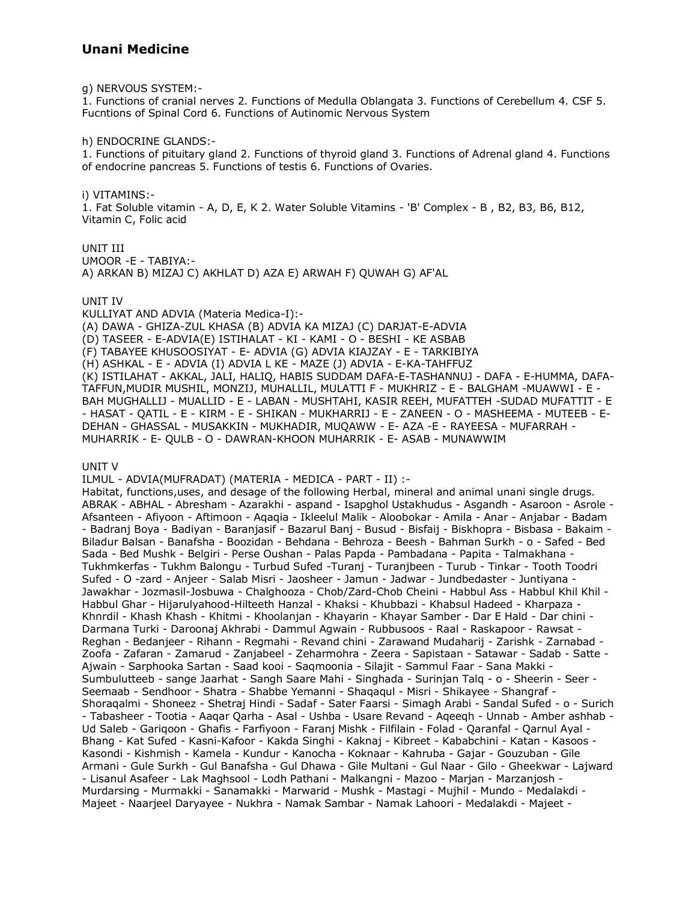g) NERVOUS SYSTEM:-

1. Functions of cranial nerves 2. Functions of Medulla Oblangata 3. Functions of Cerebellum 4. CSF 5. Fucntions of Spinal Cord 6. Functions of Autinomic Nervous System

h) ENDOCRINE GLANDS:-

1. Functions of pituitary gland 2. Functions of thyroid gland 3. Functions of Adrenal gland 4. Functions of endocrine pancreas 5. Functions of testis 6. Functions of Ovaries.

i) VITAMINS:-1. Fat Soluble vitamin - A, D, E, K 2. Water Soluble Vitamins - 'B' Complex - B, B2, B3, B6, B12, Vitamin C, Folic acid

UNIT III UMOOR -E - TABIYA:-A) ARKAN B) MIZAJ C) AKHLAT D) AZA E) ARWAH F) OUWAH G) AF'AL

UNIT IV

KULLIYAT AND ADVIA (Materia Medica-I):-(A) DAWA - GHIZA-ZUL KHASA (B) ADVIA KA MIZAJ (C) DARJAT-E-ADVIA (D) TASEER - E-ADVIA(E) ISTIHALAT - KI - KAMI - O - BESHI - KE ASBAB (F) TABAYEE KHUSOOSIYAT - E- ADVIA (G) ADVIA KIAJZAY - E - TARKIBIYA (H) ASHKAL - E - ADVIA (I) ADVIA L KE - MAZE (J) ADVIA - E-KA-TAHFFUZ (K) ISTILAHAT - AKKAL, JALI, HALIQ, HABIS SUDDAM DAFA-E-TASHANNUJ - DAFA - E-HUMMA, DAFA-TAFFUN, MUDIR MUSHIL, MONZIJ, MUHALLIL, MULATTI F - MUKHRIZ - E - BALGHAM -MUAWWI - E -BAH MUGHALLIJ - MUALLID - E - LABAN - MUSHTAHI, KASIR REEH, MUFATTEH -SUDAD MUFATTIT - E - HASAT - QATIL - E - KIRM - E - SHIKAN - MUKHARRIJ - E - ZANEEN - O - MASHEEMA - MUTEEB - E-DEHAN - GHASSAL - MUSAKKIN - MUKHADIR, MUQAWW - E- AZA -E - RAYEESA - MUFARRAH -MUHARRIK - E- QULB - O - DAWRAN-KHOON MUHARRIK - E- ASAB - MUNAWWIM

UNIT V

ILMUL - ADVIA(MUFRADAT) (MATERIA - MEDICA - PART - II) :-

Habitat, functions, uses, and desage of the following Herbal, mineral and animal unani single drugs. ABRAK - ABHAL - Abresham - Azarakhi - aspand - Isapghol Ustakhudus - Asgandh - Asaroon - Asrole -Afsanteen - Afiyoon - Aftimoon - Agagia - Ikleelul Malik - Aloobokar - Amila - Anar - Anjabar - Badam - Badranj Boya - Badiyan - Baranjasif - Bazarul Banj - Busud - Bisfaij - Biskhopra - Bisbasa - Bakaim -Biladur Balsan - Banafsha - Boozidan - Behdana - Behroza - Beesh - Bahman Surkh - o - Safed - Bed Sada - Bed Mushk - Belgiri - Perse Oushan - Palas Papda - Pambadana - Papita - Talmakhana -Tukhmkerfas - Tukhm Balongu - Turbud Sufed - Turanj - Turanjbeen - Turub - Tinkar - Tooth Toodri Sufed - O -zard - Anjeer - Salab Misri - Jaosheer - Jamun - Jadwar - Jundbedaster - Juntiyana -Jawakhar - Jozmasil-Josbuwa - Chalghooza - Chob/Zard-Chob Cheini - Habbul Ass - Habbul Khil Khil -Habbul Ghar - Hijarulyahood-Hilteeth Hanzal - Khaksi - Khubbazi - Khabsul Hadeed - Kharpaza -Khnrdil - Khash Khash - Khitmi - Khoolanjan - Khayarin - Khayar Samber - Dar E Hald - Dar chini -Darmana Turki - Daroonaj Akhrabi - Dammul Agwain - Rubbusoos - Raal - Raskapoor - Rawsat -Reghan - Bedanjeer - Rihann - Regmahi - Revand chini - Zarawand Mudaharij - Zarishk - Zarnabad -Zoofa - Zafaran - Zamarud - Zanjabeel - Zeharmohra - Zeera - Sapistaan - Satawar - Sadab - Satte -Ajwain - Sarphooka Sartan - Saad kooi - Saqmoonia - Silajit - Sammul Faar - Sana Makki -Sumbulutteeb - sange Jaarhat - Sangh Saare Mahi - Singhada - Surinjan Talq - o - Sheerin - Seer -Seemaab - Sendhoor - Shatra - Shabbe Yemanni - Shaqaqul - Misri - Shikayee - Shangraf -Shoragalmi - Shoneez - Shetraj Hindi - Sadaf - Sater Faarsi - Simagh Arabi - Sandal Sufed - o - Surich - Tabasheer - Tootia - Aagar Qarha - Asal - Ushba - Usare Revand - Ageegh - Unnab - Amber ashhab -Ud Saleb - Garigoon - Ghafis - Farfiyoon - Faranj Mishk - Filfilain - Folad - Qaranfal - Qarnul Ayal -Bhang - Kat Sufed - Kasni-Kafoor - Kakda Singhi - Kaknaj - Kibreet - Kababchini - Katan - Kasoos -Kasondi - Kishmish - Kamela - Kundur - Kanocha - Koknaar - Kahruba - Gajar - Gouzuban - Gile Armani - Gule Surkh - Gul Banafsha - Gul Dhawa - Gile Multani - Gul Naar - Gilo - Gheekwar - Lajward - Lisanul Asafeer - Lak Maghsool - Lodh Pathani - Malkangni - Mazoo - Marian - Marzaniosh -Murdarsing - Murmakki - Sanamakki - Marwarid - Mushk - Mastagi - Mujhil - Mundo - Medalakdi -Majeet - Naarjeel Daryayee - Nukhra - Namak Sambar - Namak Lahoori - Medalakdi - Majeet -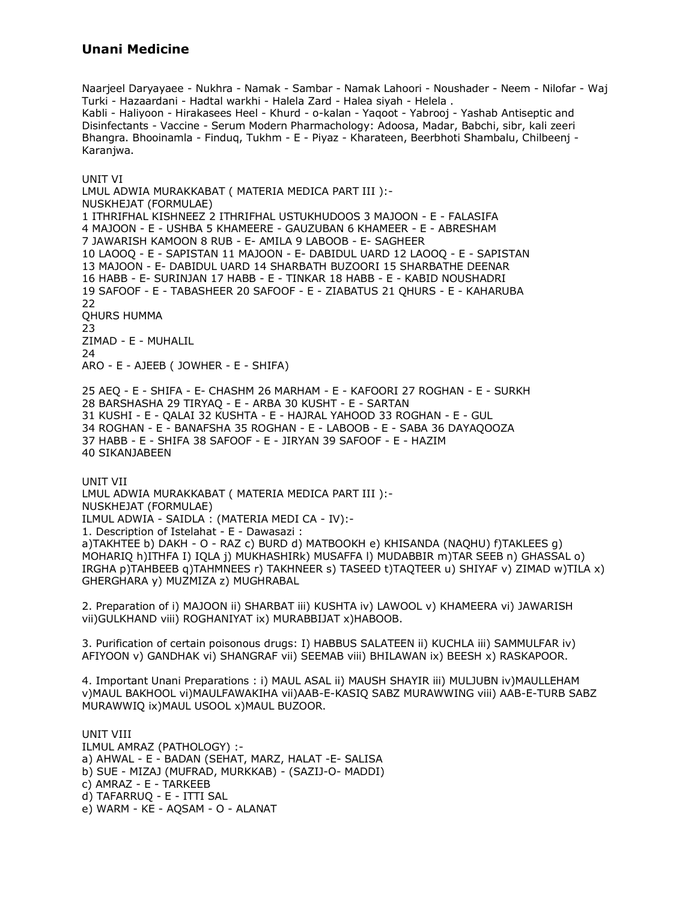Naarjeel Daryayaee - Nukhra - Namak - Sambar - Namak Lahoori - Noushader - Neem - Nilofar - Waj Turki - Hazaardani - Hadtal warkhi - Halela Zard - Halea siyah - Helela . Kabli - Haliyoon - Hirakasees Heel - Khurd - o-kalan - Yaqoot - Yabrooj - Yashab Antiseptic and Disinfectants - Vaccine - Serum Modern Pharmachology: Adoosa, Madar, Babchi, sibr, kali zeeri Bhangra. Bhooinamla - Finduq, Tukhm - E - Piyaz - Kharateen, Beerbhoti Shambalu, Chilbeenj - Karanjwa.

UNIT VI LMUL ADWIA MURAKKABAT ( MATERIA MEDICA PART III ):- NUSKHEJAT (FORMULAE) 1 ITHRIFHAL KISHNEEZ 2 ITHRIFHAL USTUKHUDOOS 3 MAJOON - E - FALASIFA 4 MAJOON - E - USHBA 5 KHAMEERE - GAUZUBAN 6 KHAMEER - E - ABRESHAM 7 JAWARISH KAMOON 8 RUB - E- AMILA 9 LABOOB - E- SAGHEER 10 LAOOQ - E - SAPISTAN 11 MAJOON - E- DABIDUL UARD 12 LAOOQ - E - SAPISTAN 13 MAJOON - E- DABIDUL UARD 14 SHARBATH BUZOORI 15 SHARBATHE DEENAR 16 HABB - E- SURINJAN 17 HABB - E - TINKAR 18 HABB - E - KABID NOUSHADRI 19 SAFOOF - E - TABASHEER 20 SAFOOF - E - ZIABATUS 21 QHURS - E - KAHARUBA 22 QHURS HUMMA 23 ZIMAD - E - MUHALIL 24 ARO - E - AJEEB ( JOWHER - E - SHIFA) 25 AEQ - E - SHIFA - E- CHASHM 26 MARHAM - E - KAFOORI 27 ROGHAN - E - SURKH 28 BARSHASHA 29 TIRYAQ - E - ARBA 30 KUSHT - E - SARTAN 31 KUSHI - E - QALAI 32 KUSHTA - E - HAJRAL YAHOOD 33 ROGHAN - E - GUL 34 ROGHAN - E - BANAFSHA 35 ROGHAN - E - LABOOB - E - SABA 36 DAYAQOOZA 37 HABB - E - SHIFA 38 SAFOOF - E - JIRYAN 39 SAFOOF - E - HAZIM 40 SIKANJABEEN UNIT VII LMUL ADWIA MURAKKABAT ( MATERIA MEDICA PART III ):- NUSKHEJAT (FORMULAE)

ILMUL ADWIA - SAIDLA : (MATERIA MEDI CA - IV):-

1. Description of Istelahat - E - Dawasazi :

a)TAKHTEE b) DAKH - O - RAZ c) BURD d) MATBOOKH e) KHISANDA (NAQHU) f)TAKLEES g) MOHARIQ h)ITHFA I) IQLA j) MUKHASHIRk) MUSAFFA l) MUDABBIR m)TAR SEEB n) GHASSAL o) IRGHA p)TAHBEEB q)TAHMNEES r) TAKHNEER s) TASEED t)TAQTEER u) SHIYAF v) ZIMAD w)TILA x) GHERGHARA y) MUZMIZA z) MUGHRABAL

2. Preparation of i) MAJOON ii) SHARBAT iii) KUSHTA iv) LAWOOL v) KHAMEERA vi) JAWARISH vii)GULKHAND viii) ROGHANIYAT ix) MURABBIJAT x)HABOOB.

3. Purification of certain poisonous drugs: I) HABBUS SALATEEN ii) KUCHLA iii) SAMMULFAR iv) AFIYOON v) GANDHAK vi) SHANGRAF vii) SEEMAB viii) BHILAWAN ix) BEESH x) RASKAPOOR.

4. Important Unani Preparations : i) MAUL ASAL ii) MAUSH SHAYIR iii) MULJUBN iv)MAULLEHAM v)MAUL BAKHOOL vi)MAULFAWAKIHA vii)AAB-E-KASIQ SABZ MURAWWING viii) AAB-E-TURB SABZ MURAWWIQ ix)MAUL USOOL x)MAUL BUZOOR.

UNIT VIII ILMUL AMRAZ (PATHOLOGY) : a) AHWAL - E - BADAN (SEHAT, MARZ, HALAT -E- SALISA b) SUE - MIZAJ (MUFRAD, MURKKAB) - (SAZIJ-O- MADDI) c) AMRAZ - E - TARKEEB d) TAFARRUQ - E - ITTI SAL e) WARM - KE - AQSAM - O - ALANAT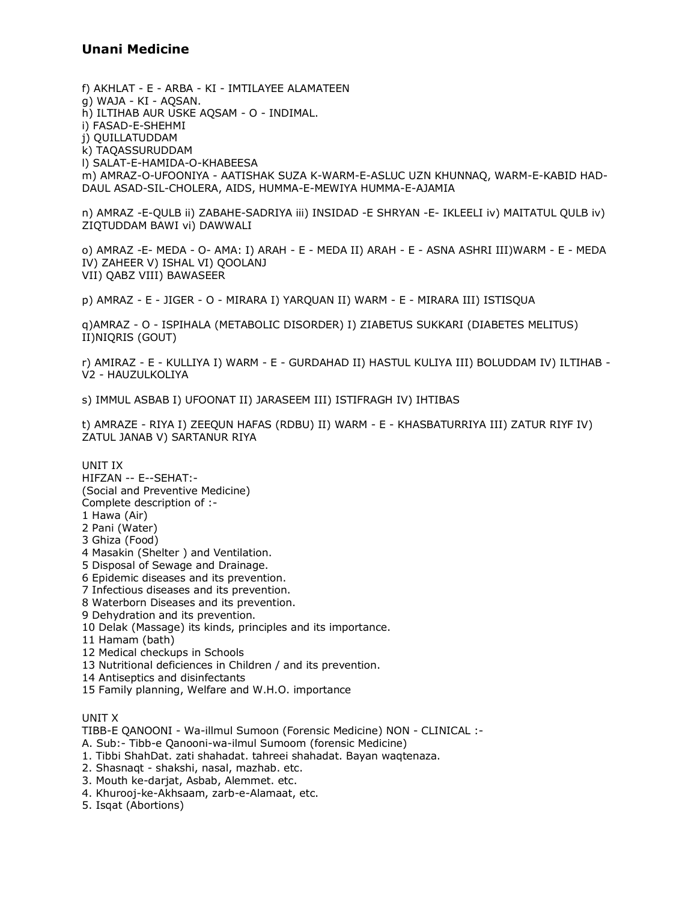f) AKHLAT - E - ARBA - KI - IMTILAYEE ALAMATEEN g) WAJA - KI - AQSAN. h) ILTIHAB AUR USKE AQSAM - O - INDIMAL. i) FASAD-E-SHEHMI i) QUILLATUDDAM k) TAQASSURUDDAM I) SALAT-E-HAMIDA-O-KHABEESA m) AMRAZ-O-UFOONIYA - AATISHAK SUZA K-WARM-E-ASLUC UZN KHUNNAQ, WARM-E-KABID HAD-DAUL ASAD-SIL-CHOLERA, AIDS, HUMMA-E-MEWIYA HUMMA-E-AJAMIA

n) AMRAZ -E-QULB ii) ZABAHE-SADRIYA iii) INSIDAD -E SHRYAN -E- IKLEELI iv) MAITATUL QULB iv) ZIQTUDDAM BAWI vi) DAWWALI

o) AMRAZ -E- MEDA - O- AMA: I) ARAH - E - MEDA II) ARAH - E - ASNA ASHRI III)WARM - E - MEDA IV) ZAHEER V) ISHAL VI) QOOLANJ VII) QABZ VIII) BAWASEER

p) AMRAZ - E - JIGER - O - MIRARA I) YARQUAN II) WARM - E - MIRARA III) ISTISQUA

q)AMRAZ - O - ISPIHALA (METABOLIC DISORDER) I) ZIABETUS SUKKARI (DIABETES MELITUS) II)NIQRIS (GOUT)

r) AMIRAZ - E - KULLIYA I) WARM - E - GURDAHAD II) HASTUL KULIYA III) BOLUDDAM IV) ILTIHAB -V2 - HAUZULKOLIYA

s) IMMUL ASBAB I) UFOONAT II) JARASEEM III) ISTIFRAGH IV) IHTIBAS

t) AMRAZE - RIYA I) ZEEQUN HAFAS (RDBU) II) WARM - E - KHASBATURRIYA III) ZATUR RIYF IV) ZATUL JANAB V) SARTANUR RIYA

UNIT IX HIFZAN -- E--SEHAT:-(Social and Preventive Medicine) Complete description of :-1 Hawa (Air) 2 Pani (Water) 3 Ghiza (Food) 4 Masakin (Shelter) and Ventilation. 5 Disposal of Sewage and Drainage. 6 Epidemic diseases and its prevention. 7 Infectious diseases and its prevention. 8 Waterborn Diseases and its prevention. 9 Dehydration and its prevention. 10 Delak (Massage) its kinds, principles and its importance. 11 Hamam (bath) 12 Medical checkups in Schools 13 Nutritional deficiences in Children / and its prevention.

14 Antiseptics and disinfectants

15 Family planning, Welfare and W.H.O. importance

UNIT X

TIBB-E OANOONI - Wa-illmul Sumoon (Forensic Medicine) NON - CLINICAL :-

A. Sub:- Tibb-e Qanooni-wa-ilmul Sumoom (forensic Medicine)

1. Tibbi ShahDat. zati shahadat. tahreei shahadat. Bayan waqtenaza.

2. Shasnaqt - shakshi, nasal, mazhab. etc.

3. Mouth ke-darjat, Asbab, Alemmet. etc.

4. Khurooj-ke-Akhsaam, zarb-e-Alamaat, etc.

5. Isgat (Abortions)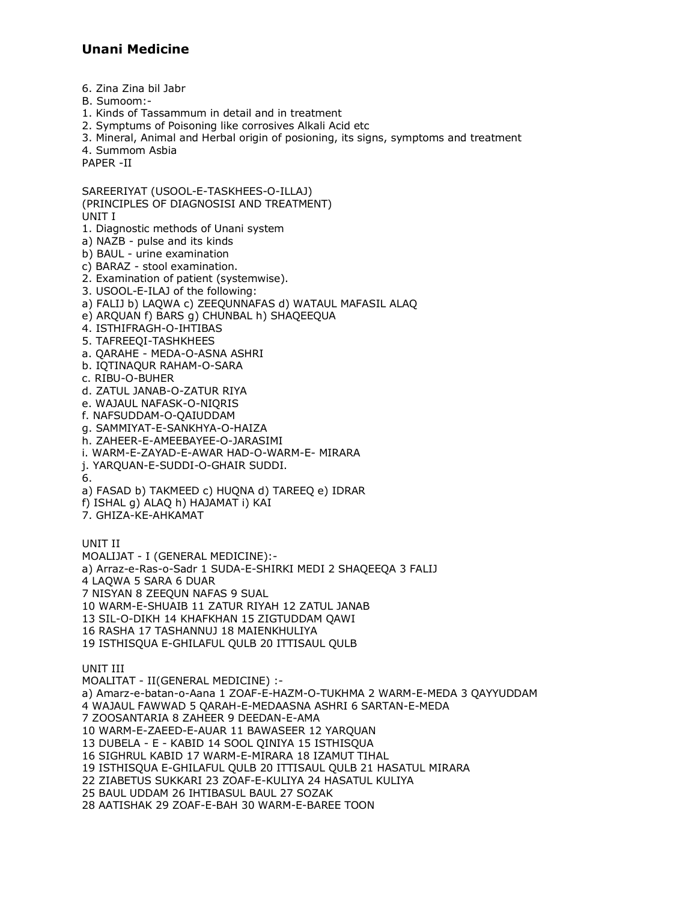6. Zina Zina bil Jabr

B. Sumoom:-

1. Kinds of Tassammum in detail and in treatment

2. Symptums of Poisoning like corrosives Alkali Acid etc

3. Mineral, Animal and Herbal origin of posioning, its signs, symptoms and treatment

4. Summom Asbia PAPER -II

SAREERIYAT (USOOL-E-TASKHEES-O-ILLAJ) (PRINCIPLES OF DIAGNOSISI AND TREATMENT) UNIT I 1. Diagnostic methods of Unani system

a) NAZB - pulse and its kinds

b) BAUL - urine examination

c) BARAZ - stool examination.

2. Examination of patient (systemwise).

3. USOOL-E-ILAJ of the following:

a) FALIJ b) LAQWA c) ZEEQUNNAFAS d) WATAUL MAFASIL ALAQ

e) ARQUAN f) BARS q) CHUNBAL h) SHAQEEQUA

4. ISTHIFRAGH-O-IHTIBAS

5. TAFREEQI-TASHKHEES

a. OARAHE - MEDA-O-ASNA ASHRI

b. IOTINAOUR RAHAM-O-SARA

c. RIBU-O-BUHER

d. ZATUL JANAB-O-ZATUR RIYA

e. WAJAUL NAFASK-O-NIORIS

f. NAFSUDDAM-O-OAIUDDAM

g. SAMMIYAT-E-SANKHYA-O-HAIZA

h. ZAHEER-E-AMEEBAYEE-O-JARASIMI

i. WARM-E-ZAYAD-E-AWAR HAD-O-WARM-E- MIRARA

j. YARQUAN-E-SUDDI-O-GHAIR SUDDI.

6.

a) FASAD b) TAKMEED c) HUQNA d) TAREEQ e) IDRAR

f) ISHAL q) ALAQ h) HAJAMAT i) KAI

7. GHIZA-KE-AHKAMAT

UNIT II

MOALIJAT - I (GENERAL MEDICINE):-

a) Arraz-e-Ras-o-Sadr 1 SUDA-E-SHIRKI MEDI 2 SHAQEEQA 3 FALIJ

4 LAQWA 5 SARA 6 DUAR

7 NISYAN 8 ZEEQUN NAFAS 9 SUAL

10 WARM-E-SHUAIB 11 ZATUR RIYAH 12 ZATUL JANAB

13 SIL-O-DIKH 14 KHAFKHAN 15 ZIGTUDDAM QAWI

16 RASHA 17 TASHANNUJ 18 MAIENKHULIYA

19 ISTHISQUA E-GHILAFUL QULB 20 ITTISAUL QULB

UNIT III

MOALITAT - II(GENERAL MEDICINE) :a) Amarz-e-batan-o-Aana 1 ZOAF-E-HAZM-O-TUKHMA 2 WARM-E-MEDA 3 QAYYUDDAM 4 WAJAUL FAWWAD 5 QARAH-E-MEDAASNA ASHRI 6 SARTAN-E-MEDA 7 ZOOSANTARIA 8 ZAHEER 9 DEEDAN-E-AMA 10 WARM-E-ZAEED-E-AUAR 11 BAWASEER 12 YAROUAN 13 DUBELA - E - KABID 14 SOOL QINIYA 15 ISTHISQUA 16 SIGHRUL KABID 17 WARM-E-MIRARA 18 IZAMUT TIHAL 19 ISTHISQUA E-GHILAFUL QULB 20 ITTISAUL QULB 21 HASATUL MIRARA 22 ZIABETUS SUKKARI 23 ZOAF-E-KULIYA 24 HASATUL KULIYA 25 BAUL UDDAM 26 IHTIBASUL BAUL 27 SOZAK 28 AATISHAK 29 ZOAF-E-BAH 30 WARM-E-BAREE TOON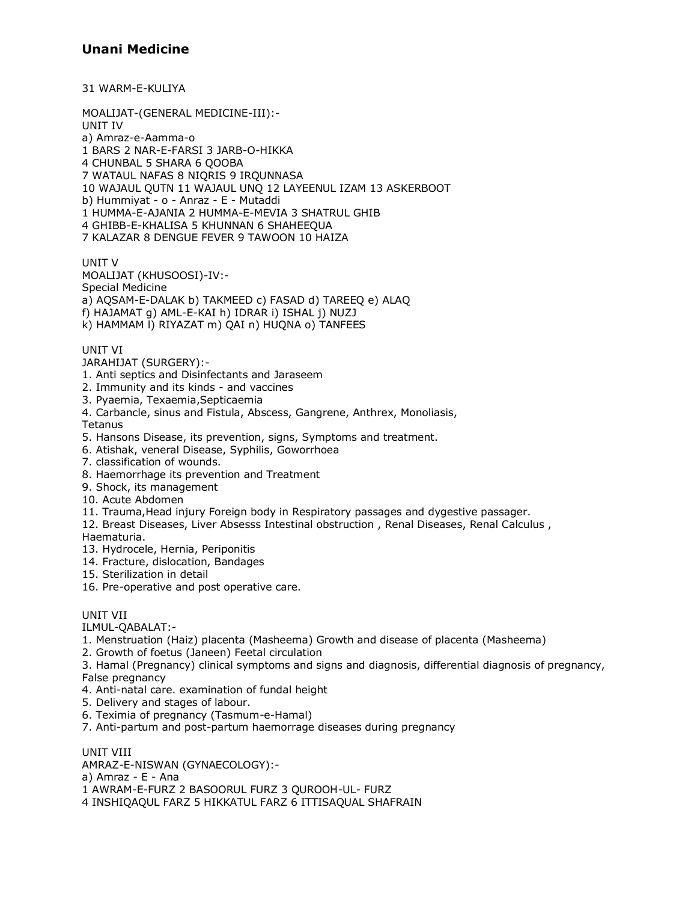31 WARM-E-KULIYA

MOALIJAT-(GENERAL MEDICINE-III):-**UNIT IV** a) Amraz-e-Aamma-o 1 BARS 2 NAR-E-FARSI 3 JARB-O-HIKKA 4 CHUNBAL 5 SHARA 6 QOOBA 7 WATAUL NAFAS 8 NIQRIS 9 IRQUNNASA 10 WAJAUL QUTN 11 WAJAUL UNQ 12 LAYEENUL IZAM 13 ASKERBOOT b) Hummiyat - o - Anraz - E - Mutaddi 1 HUMMA-E-AJANIA 2 HUMMA-E-MEVIA 3 SHATRUL GHIB 4 GHIBB-E-KHALISA 5 KHUNNAN 6 SHAHEEQUA 7 KALAZAR 8 DENGUE FEVER 9 TAWOON 10 HAIZA

UNIT<sub>V</sub>

MOALIJAT (KHUSOOSI)-IV:-Special Medicine a) AQSAM-E-DALAK b) TAKMEED c) FASAD d) TAREEQ e) ALAQ f) HAJAMAT q) AML-E-KAI h) IDRAR i) ISHAL j) NUZJ k) HAMMAM I) RIYAZAT m) QAI n) HUQNA o) TANFEES

**UNIT VI** 

#### JARAHIJAT (SURGERY):-

- 1. Anti septics and Disinfectants and Jaraseem
- 2. Immunity and its kinds and vaccines
- 3. Pyaemia, Texaemia, Septicaemia
- 4. Carbancle, sinus and Fistula, Abscess, Gangrene, Anthrex, Monoliasis,

Tetanus

- 5. Hansons Disease, its prevention, signs, Symptoms and treatment.
- 6. Atishak, veneral Disease, Syphilis, Goworrhoea
- 7. classification of wounds.
- 8. Haemorrhage its prevention and Treatment
- 9. Shock, its management
- 10. Acute Abdomen
- 11. Trauma, Head injury Foreign body in Respiratory passages and dygestive passager.
- 12. Breast Diseases, Liver Absesss Intestinal obstruction, Renal Diseases, Renal Calculus, Haematuria.
- 13. Hydrocele, Hernia, Periponitis
- 14. Fracture, dislocation, Bandages
- 15. Sterilization in detail
- 16. Pre-operative and post operative care.

#### UNIT VII

ILMUL-QABALAT:-

- 1. Menstruation (Haiz) placenta (Masheema) Growth and disease of placenta (Masheema)
- 2. Growth of foetus (Janeen) Feetal circulation
- 3. Hamal (Pregnancy) clinical symptoms and signs and diagnosis, differential diagnosis of pregnancy, False pregnancy
- 4. Anti-natal care. examination of fundal height
- 5. Delivery and stages of labour.
- 6. Teximia of pregnancy (Tasmum-e-Hamal)
- 7. Anti-partum and post-partum haemorrage diseases during pregnancy

UNIT VIII

AMRAZ-E-NISWAN (GYNAECOLOGY):-

a) Amraz - E - Ana

1 AWRAM-E-FURZ 2 BASOORUL FURZ 3 QUROOH-UL- FURZ

4 INSHIQAQUL FARZ 5 HIKKATUL FARZ 6 ITTISAQUAL SHAFRAIN